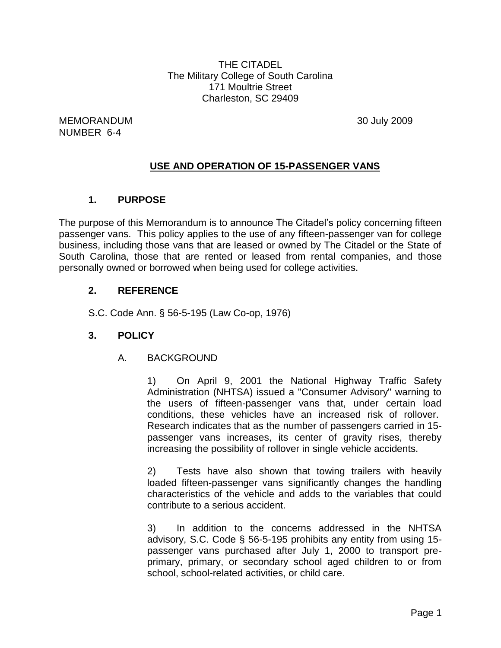THE CITADEL The Military College of South Carolina 171 Moultrie Street Charleston, SC 29409

MEMORANDUM 30 July 2009 NUMBER 6-4

### **USE AND OPERATION OF 15-PASSENGER VANS**

#### **1. PURPOSE**

The purpose of this Memorandum is to announce The Citadel's policy concerning fifteen passenger vans. This policy applies to the use of any fifteen-passenger van for college business, including those vans that are leased or owned by The Citadel or the State of South Carolina, those that are rented or leased from rental companies, and those personally owned or borrowed when being used for college activities.

#### **2. REFERENCE**

S.C. Code Ann. § 56-5-195 (Law Co-op, 1976)

#### **3. POLICY**

A. BACKGROUND

1) On April 9, 2001 the National Highway Traffic Safety Administration (NHTSA) issued a "Consumer Advisory" warning to the users of fifteen-passenger vans that, under certain load conditions, these vehicles have an increased risk of rollover. Research indicates that as the number of passengers carried in 15 passenger vans increases, its center of gravity rises, thereby increasing the possibility of rollover in single vehicle accidents.

2) Tests have also shown that towing trailers with heavily loaded fifteen-passenger vans significantly changes the handling characteristics of the vehicle and adds to the variables that could contribute to a serious accident.

3) In addition to the concerns addressed in the NHTSA advisory, S.C. Code § 56-5-195 prohibits any entity from using 15 passenger vans purchased after July 1, 2000 to transport preprimary, primary, or secondary school aged children to or from school, school-related activities, or child care.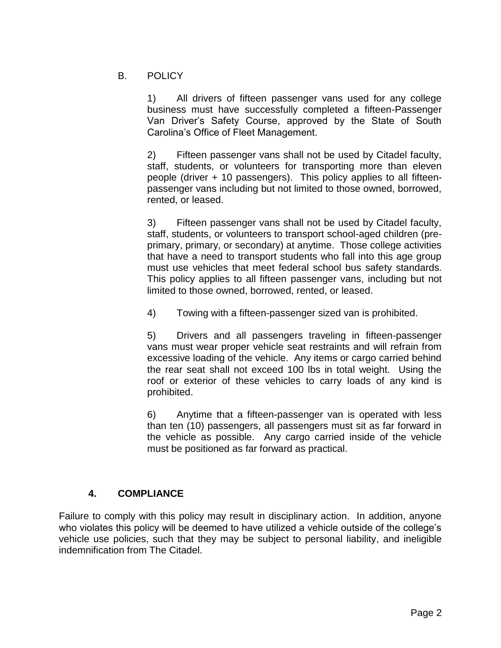#### B. POLICY

1) All drivers of fifteen passenger vans used for any college business must have successfully completed a fifteen-Passenger Van Driver's Safety Course, approved by the State of South Carolina's Office of Fleet Management.

2) Fifteen passenger vans shall not be used by Citadel faculty, staff, students, or volunteers for transporting more than eleven people (driver + 10 passengers). This policy applies to all fifteenpassenger vans including but not limited to those owned, borrowed, rented, or leased.

3) Fifteen passenger vans shall not be used by Citadel faculty, staff, students, or volunteers to transport school-aged children (preprimary, primary, or secondary) at anytime. Those college activities that have a need to transport students who fall into this age group must use vehicles that meet federal school bus safety standards. This policy applies to all fifteen passenger vans, including but not limited to those owned, borrowed, rented, or leased.

4) Towing with a fifteen-passenger sized van is prohibited.

5) Drivers and all passengers traveling in fifteen-passenger vans must wear proper vehicle seat restraints and will refrain from excessive loading of the vehicle. Any items or cargo carried behind the rear seat shall not exceed 100 lbs in total weight. Using the roof or exterior of these vehicles to carry loads of any kind is prohibited.

6) Anytime that a fifteen-passenger van is operated with less than ten (10) passengers, all passengers must sit as far forward in the vehicle as possible. Any cargo carried inside of the vehicle must be positioned as far forward as practical.

### **4. COMPLIANCE**

Failure to comply with this policy may result in disciplinary action. In addition, anyone who violates this policy will be deemed to have utilized a vehicle outside of the college's vehicle use policies, such that they may be subject to personal liability, and ineligible indemnification from The Citadel.